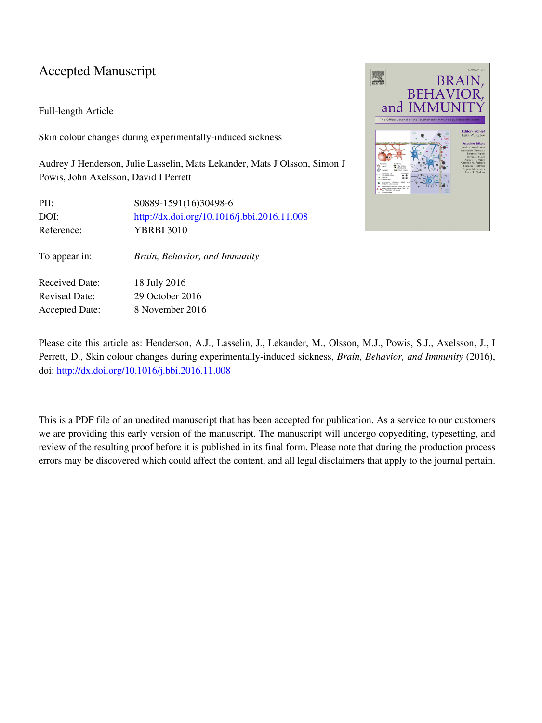## Accepted Manuscript

### Full-length Article

Skin colour changes during experimentally-induced sickness

Audrey J Henderson, Julie Lasselin, Mats Lekander, Mats J Olsson, Simon J Powis, John Axelsson, David I Perrett

| PII:<br>DOI:<br>Reference: | S0889-1591(16)30498-6<br>http://dx.doi.org/10.1016/j.bbi.2016.11.008<br><b>YBRBI 3010</b> |
|----------------------------|-------------------------------------------------------------------------------------------|
| To appear in:              | Brain, Behavior, and Immunity                                                             |
| <b>Received Date:</b>      | 18 July 2016                                                                              |
| <b>Revised Date:</b>       | 29 October 2016                                                                           |
| <b>Accepted Date:</b>      | 8 November 2016                                                                           |



Please cite this article as: Henderson, A.J., Lasselin, J., Lekander, M., Olsson, M.J., Powis, S.J., Axelsson, J., I Perrett, D., Skin colour changes during experimentally-induced sickness, *Brain, Behavior, and Immunity* (2016), doi:<http://dx.doi.org/10.1016/j.bbi.2016.11.008>

This is a PDF file of an unedited manuscript that has been accepted for publication. As a service to our customers we are providing this early version of the manuscript. The manuscript will undergo copyediting, typesetting, and review of the resulting proof before it is published in its final form. Please note that during the production process errors may be discovered which could affect the content, and all legal disclaimers that apply to the journal pertain.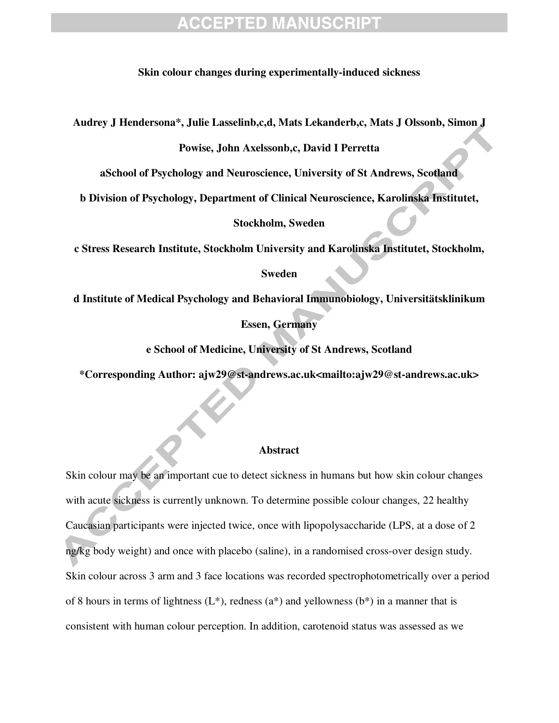### **Skin colour changes during experimentally-induced sickness**

**Audrey J Hendersona\*, Julie Lasselinb,c,d, Mats Lekanderb,c, Mats J Olssonb, Simon J** 

**Powise, John Axelssonb,c, David I Perretta** 

**aSchool of Psychology and Neuroscience, University of St Andrews, Scotland** 

**b Division of Psychology, Department of Clinical Neuroscience, Karolinska Institutet,** 

**Stockholm, Sweden** 

**c Stress Research Institute, Stockholm University and Karolinska Institutet, Stockholm,** 

### **Sweden**

**d Institute of Medical Psychology and Behavioral Immunobiology, Universitätsklinikum** 

### **Essen, Germany**

**e School of Medicine, University of St Andrews, Scotland** 

**\*Corresponding Author: ajw29@st-andrews.ac.uk<mailto:ajw29@st-andrews.ac.uk>** 

#### **Abstract**

Skin colour may be an important cue to detect sickness in humans but how skin colour changes with acute sickness is currently unknown. To determine possible colour changes, 22 healthy Caucasian participants were injected twice, once with lipopolysaccharide (LPS, at a dose of 2 ng/kg body weight) and once with placebo (saline), in a randomised cross-over design study. Skin colour across 3 arm and 3 face locations was recorded spectrophotometrically over a period of 8 hours in terms of lightness  $(L^*)$ , redness  $(a^*)$  and yellowness  $(b^*)$  in a manner that is consistent with human colour perception. In addition, carotenoid status was assessed as we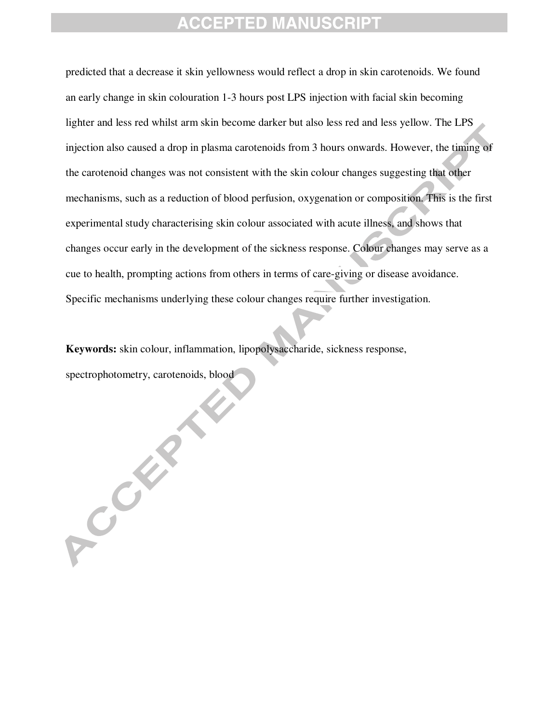predicted that a decrease it skin yellowness would reflect a drop in skin carotenoids. We found an early change in skin colouration 1-3 hours post LPS injection with facial skin becoming lighter and less red whilst arm skin become darker but also less red and less yellow. The LPS injection also caused a drop in plasma carotenoids from 3 hours onwards. However, the timing of the carotenoid changes was not consistent with the skin colour changes suggesting that other mechanisms, such as a reduction of blood perfusion, oxygenation or composition. This is the first experimental study characterising skin colour associated with acute illness, and shows that changes occur early in the development of the sickness response. Colour changes may serve as a cue to health, prompting actions from others in terms of care-giving or disease avoidance. Specific mechanisms underlying these colour changes require further investigation.

**Keywords:** skin colour, inflammation, lipopolysaccharide, sickness response, spectrophotometry, carotenoids, blood

ACCENT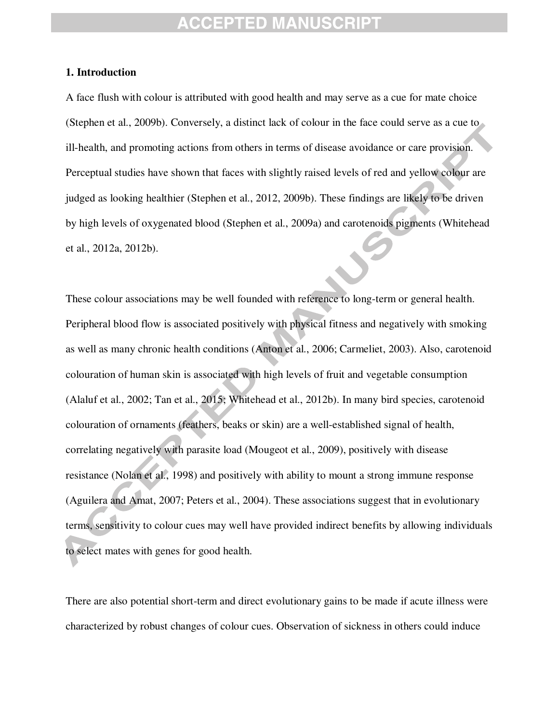### **1. Introduction**

A face flush with colour is attributed with good health and may serve as a cue for mate choice (Stephen et al., 2009b). Conversely, a distinct lack of colour in the face could serve as a cue to ill-health, and promoting actions from others in terms of disease avoidance or care provision. Perceptual studies have shown that faces with slightly raised levels of red and yellow colour are judged as looking healthier (Stephen et al., 2012, 2009b). These findings are likely to be driven by high levels of oxygenated blood (Stephen et al., 2009a) and carotenoids pigments (Whitehead et al., 2012a, 2012b).

These colour associations may be well founded with reference to long-term or general health. Peripheral blood flow is associated positively with physical fitness and negatively with smoking as well as many chronic health conditions (Anton et al., 2006; Carmeliet, 2003). Also, carotenoid colouration of human skin is associated with high levels of fruit and vegetable consumption (Alaluf et al., 2002; Tan et al., 2015; Whitehead et al., 2012b). In many bird species, carotenoid colouration of ornaments (feathers, beaks or skin) are a well-established signal of health, correlating negatively with parasite load (Mougeot et al., 2009), positively with disease resistance (Nolan et al., 1998) and positively with ability to mount a strong immune response (Aguilera and Amat, 2007; Peters et al., 2004). These associations suggest that in evolutionary terms, sensitivity to colour cues may well have provided indirect benefits by allowing individuals to select mates with genes for good health.

There are also potential short-term and direct evolutionary gains to be made if acute illness were characterized by robust changes of colour cues. Observation of sickness in others could induce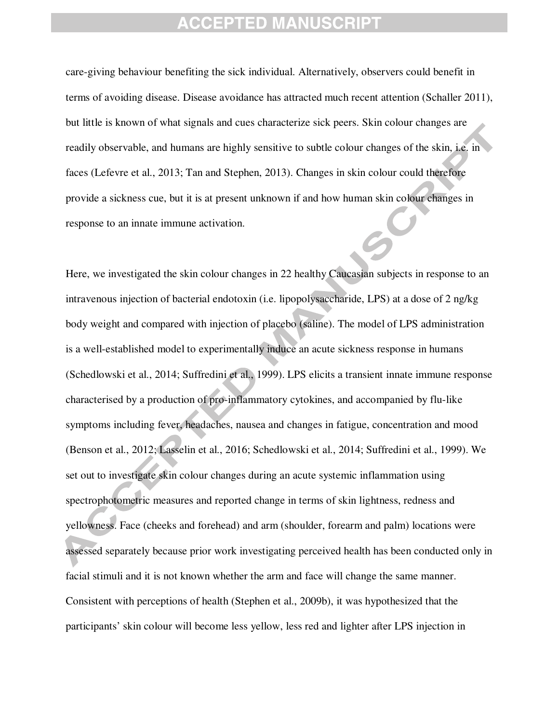care-giving behaviour benefiting the sick individual. Alternatively, observers could benefit in terms of avoiding disease. Disease avoidance has attracted much recent attention (Schaller 2011), but little is known of what signals and cues characterize sick peers. Skin colour changes are readily observable, and humans are highly sensitive to subtle colour changes of the skin, i.e. in faces (Lefevre et al., 2013; Tan and Stephen, 2013). Changes in skin colour could therefore provide a sickness cue, but it is at present unknown if and how human skin colour changes in response to an innate immune activation.

Here, we investigated the skin colour changes in 22 healthy Caucasian subjects in response to an intravenous injection of bacterial endotoxin (i.e. lipopolysaccharide, LPS) at a dose of 2 ng/kg body weight and compared with injection of placebo (saline). The model of LPS administration is a well-established model to experimentally induce an acute sickness response in humans (Schedlowski et al., 2014; Suffredini et al., 1999). LPS elicits a transient innate immune response characterised by a production of pro-inflammatory cytokines, and accompanied by flu-like symptoms including fever, headaches, nausea and changes in fatigue, concentration and mood (Benson et al., 2012; Lasselin et al., 2016; Schedlowski et al., 2014; Suffredini et al., 1999). We set out to investigate skin colour changes during an acute systemic inflammation using spectrophotometric measures and reported change in terms of skin lightness, redness and yellowness. Face (cheeks and forehead) and arm (shoulder, forearm and palm) locations were assessed separately because prior work investigating perceived health has been conducted only in facial stimuli and it is not known whether the arm and face will change the same manner. Consistent with perceptions of health (Stephen et al., 2009b), it was hypothesized that the participants' skin colour will become less yellow, less red and lighter after LPS injection in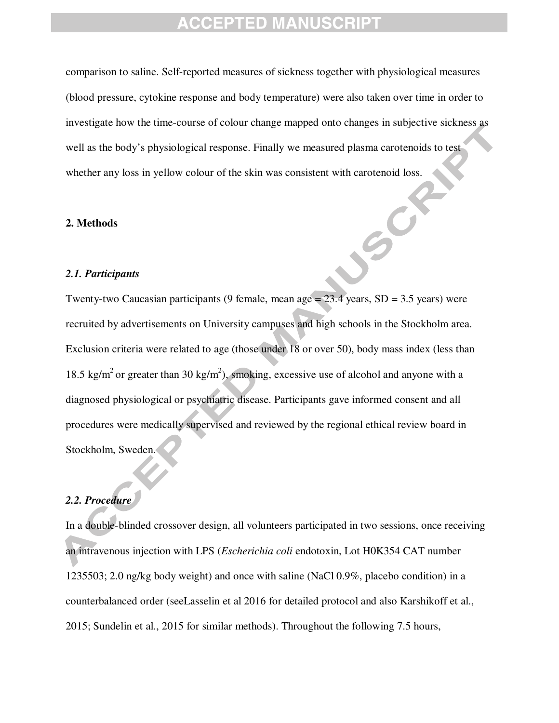comparison to saline. Self-reported measures of sickness together with physiological measures (blood pressure, cytokine response and body temperature) were also taken over time in order to investigate how the time-course of colour change mapped onto changes in subjective sickness as well as the body's physiological response. Finally we measured plasma carotenoids to test whether any loss in yellow colour of the skin was consistent with carotenoid loss.

#### **2. Methods**

#### *2.1. Participants*

Twenty-two Caucasian participants (9 female, mean age = 23.4 years, SD = 3.5 years) were recruited by advertisements on University campuses and high schools in the Stockholm area. Exclusion criteria were related to age (those under 18 or over 50), body mass index (less than 18.5 kg/m<sup>2</sup> or greater than 30 kg/m<sup>2</sup>), smoking, excessive use of alcohol and anyone with a diagnosed physiological or psychiatric disease. Participants gave informed consent and all procedures were medically supervised and reviewed by the regional ethical review board in Stockholm, Sweden.

### *2.2. Procedure*

In a double-blinded crossover design, all volunteers participated in two sessions, once receiving an intravenous injection with LPS (*Escherichia coli* endotoxin, Lot H0K354 CAT number 1235503; 2.0 ng/kg body weight) and once with saline (NaCl 0.9%, placebo condition) in a counterbalanced order (seeLasselin et al 2016 for detailed protocol and also Karshikoff et al., 2015; Sundelin et al., 2015 for similar methods). Throughout the following 7.5 hours,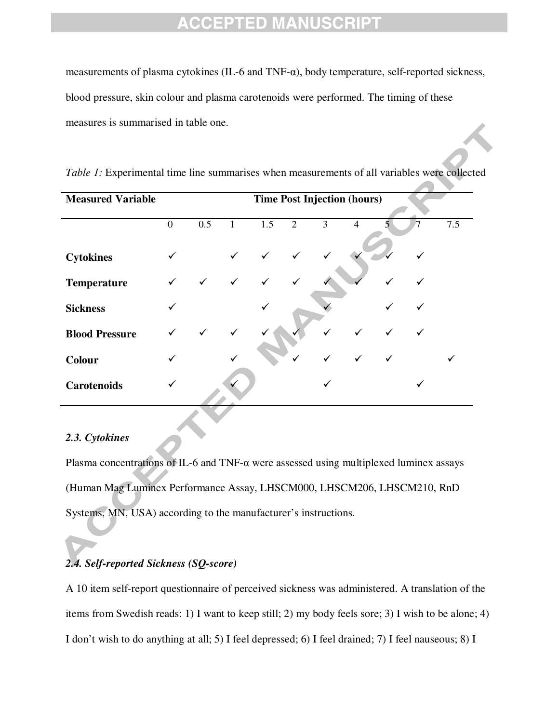measurements of plasma cytokines (IL-6 and TNF-α), body temperature, self-reported sickness, blood pressure, skin colour and plasma carotenoids were performed. The timing of these measures is summarised in table one.

| <b>Measured Variable</b> |                  |              |              |              |                |              | <b>Time Post Injection (hours)</b> |   |              |     |
|--------------------------|------------------|--------------|--------------|--------------|----------------|--------------|------------------------------------|---|--------------|-----|
|                          | $\boldsymbol{0}$ | 0.5          | $\mathbf{1}$ | 1.5          | $\overline{2}$ | 3            | $\overline{4}$                     | 5 |              | 7.5 |
| <b>Cytokines</b>         | ✓                |              | $\checkmark$ | $\checkmark$ | $\checkmark$   | $\checkmark$ |                                    |   |              |     |
| <b>Temperature</b>       | $\checkmark$     | $\checkmark$ | $\checkmark$ | $\checkmark$ | ✓              |              |                                    | ✓ |              |     |
| <b>Sickness</b>          | ✓                |              |              |              |                |              |                                    |   |              |     |
| <b>Blood Pressure</b>    |                  |              | ✓            |              |                |              |                                    | ✓ | $\checkmark$ |     |
| <b>Colour</b>            | ✓                |              |              |              | $\checkmark$   | $\checkmark$ | $\checkmark$                       | ✓ |              |     |
| <b>Carotenoids</b>       | ✓                |              |              |              |                | ✓            |                                    |   | ✓            |     |

| Table 1: Experimental time line summarises when measurements of all variables were collected |  |  |  |  |  |  |  |  |  |  |  |  |
|----------------------------------------------------------------------------------------------|--|--|--|--|--|--|--|--|--|--|--|--|
|----------------------------------------------------------------------------------------------|--|--|--|--|--|--|--|--|--|--|--|--|

### *2.3. Cytokines*

Plasma concentrations of IL-6 and TNF- $\alpha$  were assessed using multiplexed luminex assays (Human Mag Luminex Performance Assay, LHSCM000, LHSCM206, LHSCM210, RnD Systems, MN, USA) according to the manufacturer's instructions.

## *2.4. Self-reported Sickness (SQ-score)*

A 10 item self-report questionnaire of perceived sickness was administered. A translation of the items from Swedish reads: 1) I want to keep still; 2) my body feels sore; 3) I wish to be alone; 4) I don't wish to do anything at all; 5) I feel depressed; 6) I feel drained; 7) I feel nauseous; 8) I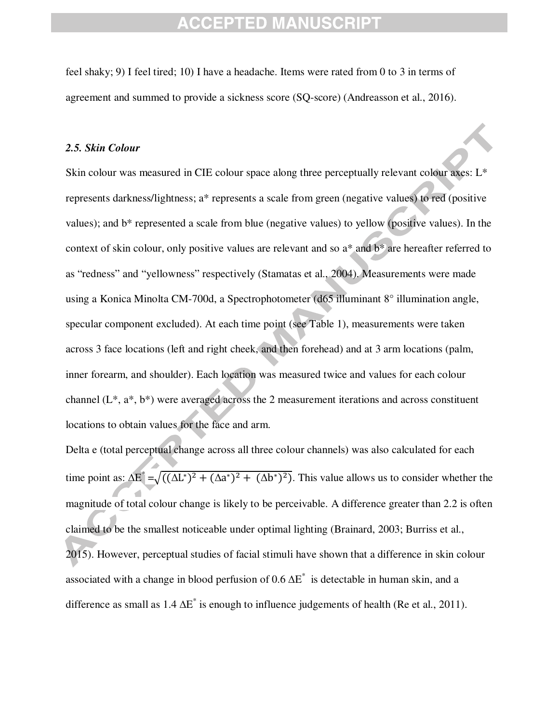feel shaky; 9) I feel tired; 10) I have a headache. Items were rated from 0 to 3 in terms of agreement and summed to provide a sickness score (SQ-score) (Andreasson et al., 2016).

### *2.5. Skin Colour*

Skin colour was measured in CIE colour space along three perceptually relevant colour axes: L\* represents darkness/lightness; a\* represents a scale from green (negative values) to red (positive values); and b\* represented a scale from blue (negative values) to yellow (positive values). In the context of skin colour, only positive values are relevant and so a\* and b\* are hereafter referred to as "redness" and "yellowness" respectively (Stamatas et al., 2004). Measurements were made using a Konica Minolta CM-700d, a Spectrophotometer (d65 illuminant 8° illumination angle, specular component excluded). At each time point (see Table 1), measurements were taken across 3 face locations (left and right cheek, and then forehead) and at 3 arm locations (palm, inner forearm, and shoulder). Each location was measured twice and values for each colour channel (L\*, a\*, b\*) were averaged across the 2 measurement iterations and across constituent locations to obtain values for the face and arm.

Delta e (total perceptual change across all three colour channels) was also calculated for each time point as:  $\Delta E^* = \sqrt{((\Delta L^*)^2 + (\Delta a^*)^2 + (\Delta b^*)^2)}$ . This value allows us to consider whether the magnitude of total colour change is likely to be perceivable. A difference greater than 2.2 is often claimed to be the smallest noticeable under optimal lighting (Brainard, 2003; Burriss et al., 2015). However, perceptual studies of facial stimuli have shown that a difference in skin colour associated with a change in blood perfusion of 0.6  $\Delta E^*$  is detectable in human skin, and a difference as small as  $1.4 \Delta E^*$  is enough to influence judgements of health (Re et al., 2011).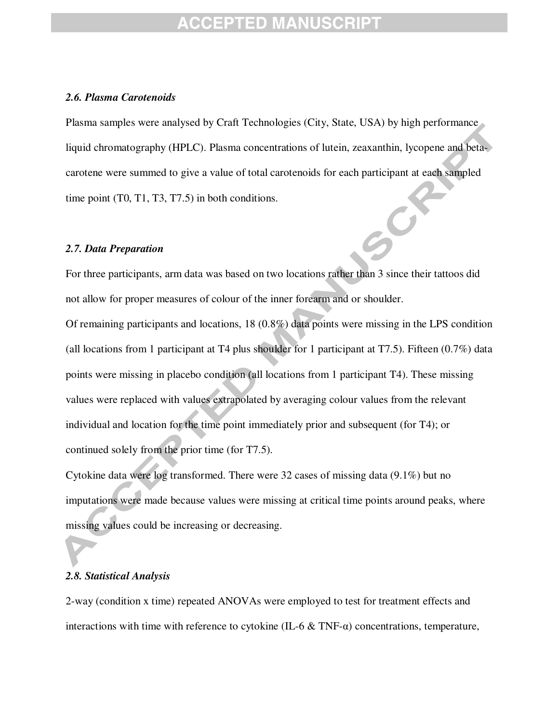### *2.6. Plasma Carotenoids*

Plasma samples were analysed by Craft Technologies (City, State, USA) by high performance liquid chromatography (HPLC). Plasma concentrations of lutein, zeaxanthin, lycopene and betacarotene were summed to give a value of total carotenoids for each participant at each sampled time point (T0, T1, T3, T7.5) in both conditions.

#### *2.7. Data Preparation*

For three participants, arm data was based on two locations rather than 3 since their tattoos did not allow for proper measures of colour of the inner forearm and or shoulder.

Of remaining participants and locations, 18 (0.8%) data points were missing in the LPS condition (all locations from 1 participant at T4 plus shoulder for 1 participant at T7.5). Fifteen (0.7%) data points were missing in placebo condition (all locations from 1 participant T4). These missing values were replaced with values extrapolated by averaging colour values from the relevant individual and location for the time point immediately prior and subsequent (for T4); or continued solely from the prior time (for T7.5).

Cytokine data were log transformed. There were 32 cases of missing data (9.1%) but no imputations were made because values were missing at critical time points around peaks, where missing values could be increasing or decreasing.

### *2.8. Statistical Analysis*

2-way (condition x time) repeated ANOVAs were employed to test for treatment effects and interactions with time with reference to cytokine (IL-6 & TNF-α) concentrations, temperature,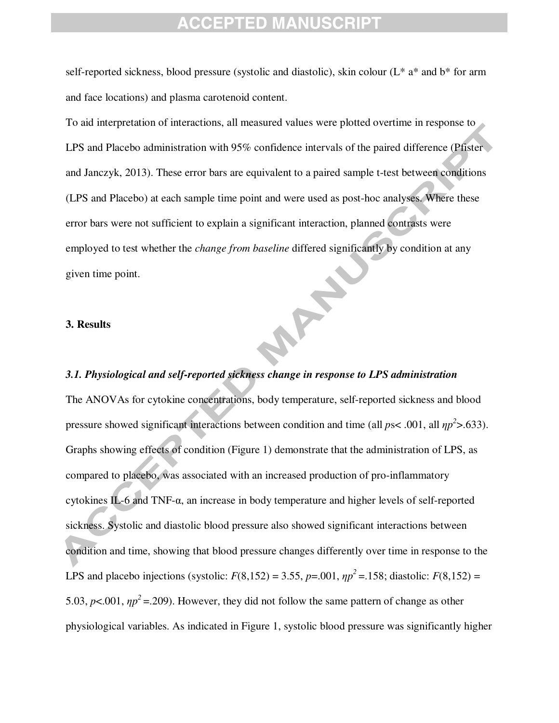self-reported sickness, blood pressure (systolic and diastolic), skin colour  $(L^* a^*$  and  $b^*$  for arm and face locations) and plasma carotenoid content.

To aid interpretation of interactions, all measured values were plotted overtime in response to LPS and Placebo administration with 95% confidence intervals of the paired difference (Pfister and Janczyk, 2013). These error bars are equivalent to a paired sample t-test between conditions (LPS and Placebo) at each sample time point and were used as post-hoc analyses. Where these error bars were not sufficient to explain a significant interaction, planned contrasts were employed to test whether the *change from baseline* differed significantly by condition at any given time point. **APA** 

### **3. Results**

### *3.1. Physiological and self-reported sickness change in response to LPS administration*

The ANOVAs for cytokine concentrations, body temperature, self-reported sickness and blood pressure showed significant interactions between condition and time (all  $ps < .001$ , all  $np<sup>2</sup> > .633$ ). Graphs showing effects of condition (Figure 1) demonstrate that the administration of LPS, as compared to placebo, was associated with an increased production of pro-inflammatory cytokines IL-6 and TNF-α, an increase in body temperature and higher levels of self-reported sickness. Systolic and diastolic blood pressure also showed significant interactions between condition and time, showing that blood pressure changes differently over time in response to the LPS and placebo injections (systolic:  $F(8,152) = 3.55$ ,  $p = .001$ ,  $np^2 = .158$ ; diastolic:  $F(8,152) =$ 5.03,  $p$ <.001,  $\eta p^2$  = .209). However, they did not follow the same pattern of change as other physiological variables. As indicated in Figure 1, systolic blood pressure was significantly higher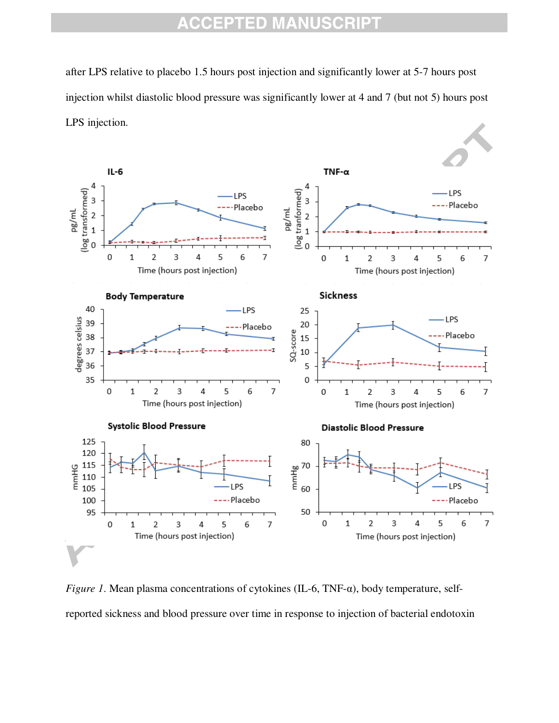after LPS relative to placebo 1.5 hours post injection and significantly lower at 5-7 hours post injection whilst diastolic blood pressure was significantly lower at 4 and 7 (but not 5) hours post LPS injection.



*Figure 1*. Mean plasma concentrations of cytokines (IL-6, TNF-α), body temperature, selfreported sickness and blood pressure over time in response to injection of bacterial endotoxin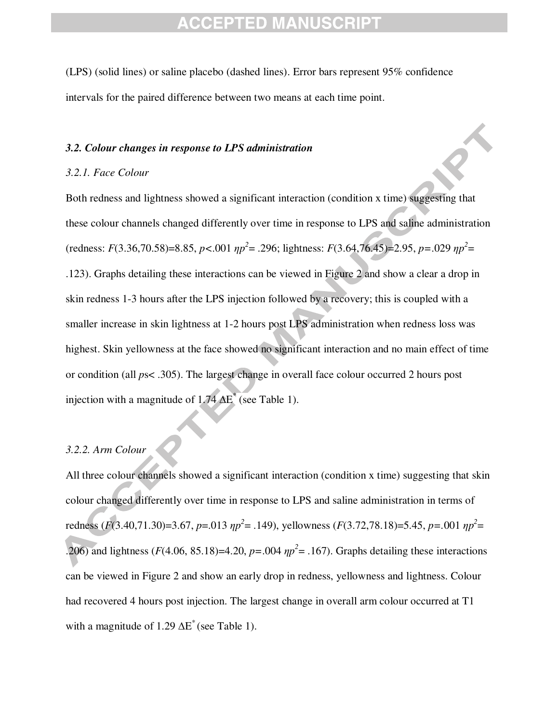(LPS) (solid lines) or saline placebo (dashed lines). Error bars represent 95% confidence intervals for the paired difference between two means at each time point.

### *3.2. Colour changes in response to LPS administration*

### *3.2.1. Face Colour*

Both redness and lightness showed a significant interaction (condition x time) suggesting that these colour channels changed differently over time in response to LPS and saline administration  $r^2 = .296$ ; lightness:  $F(3.36, 70.58) = 8.85$ ,  $p < .001$   $np^2 = .296$ ; lightness:  $F(3.64, 76.45) = 2.95$ ,  $p = .029$   $np^2 = .029$ .123). Graphs detailing these interactions can be viewed in Figure 2 and show a clear a drop in skin redness 1-3 hours after the LPS injection followed by a recovery; this is coupled with a smaller increase in skin lightness at 1-2 hours post LPS administration when redness loss was highest. Skin yellowness at the face showed no significant interaction and no main effect of time or condition (all *p*s< .305). The largest change in overall face colour occurred 2 hours post injection with a magnitude of  $1.74 \text{ }\Delta E^*$  (see Table 1).

### *3.2.2. Arm Colour*

All three colour channels showed a significant interaction (condition x time) suggesting that skin colour changed differently over time in response to LPS and saline administration in terms of redness (*F*(3.40,71.30)=3.67, *p*=.013  $\eta p^2$  = .149), yellowness (*F*(3.72,78.18)=5.45, *p*=.001  $\eta p^2$  = .206) and lightness ( $F(4.06, 85.18) = 4.20$ ,  $p = .004$   $np^2 = .167$ ). Graphs detailing these interactions can be viewed in Figure 2 and show an early drop in redness, yellowness and lightness. Colour had recovered 4 hours post injection. The largest change in overall arm colour occurred at T1 with a magnitude of 1.29  $\Delta E^*$  (see Table 1).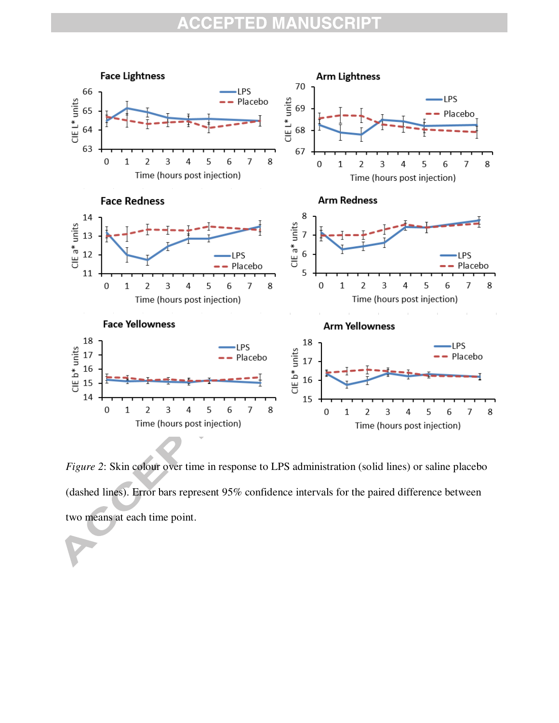

*Figure 2*: Skin colour over time in response to LPS administration (solid lines) or saline placebo (dashed lines). Error bars represent 95% confidence intervals for the paired difference between two means at each time point.

 $\overline{\phantom{0}}$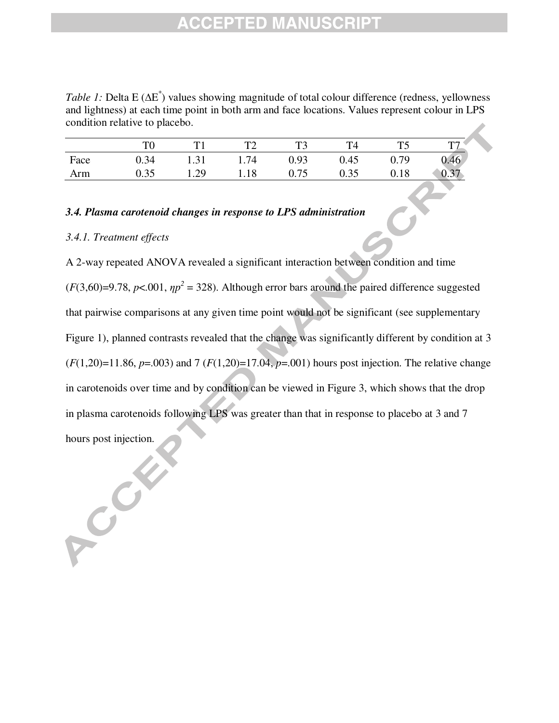*Table 1*: Delta E (ΔE<sup>\*</sup>) values showing magnitude of total colour difference (redness, yellowness and lightness) at each time point in both arm and face locations. Values represent colour in LPS condition relative to placebo.

|      | TΩ   |      | T    |      | T4   | T5   | ᠇᠇ᢇ  |
|------|------|------|------|------|------|------|------|
| Face | 0.34 | 1.31 | 1.74 | 0.93 | 0.45 | 0.79 | 0.46 |
| Arm  | 0.35 | 1.29 | 1.18 | 0.75 | 0.35 | 0.18 | 0.31 |

## *3.4. Plasma carotenoid changes in response to LPS administration*

### *3.4.1. Treatment effects*

RCCY

A 2-way repeated ANOVA revealed a significant interaction between condition and time  $(F(3,60)=9.78, p<.001, \eta p^2 = 328)$ . Although error bars around the paired difference suggested that pairwise comparisons at any given time point would not be significant (see supplementary Figure 1), planned contrasts revealed that the change was significantly different by condition at 3  $(F(1,20)=11.86, p=.003)$  and 7  $(F(1,20)=17.04, p=.001)$  hours post injection. The relative change in carotenoids over time and by condition can be viewed in Figure 3, which shows that the drop in plasma carotenoids following LPS was greater than that in response to placebo at 3 and 7 hours post injection.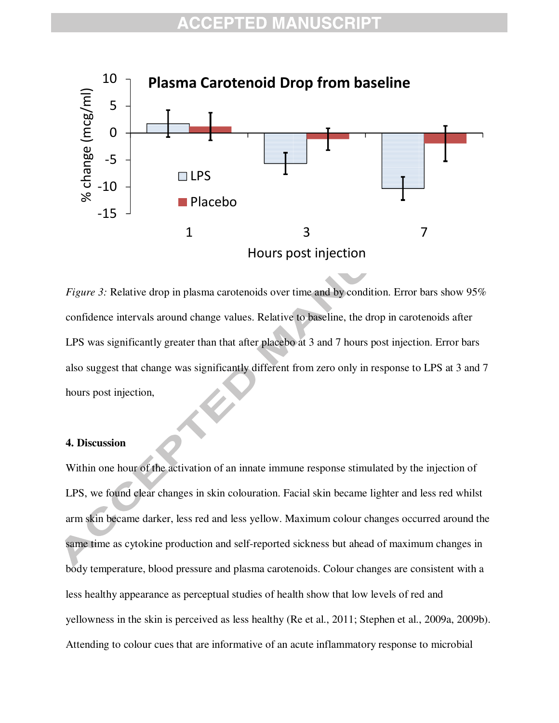

*Figure 3:* Relative drop in plasma carotenoids over time and by condition. Error bars show 95% confidence intervals around change values. Relative to baseline, the drop in carotenoids after LPS was significantly greater than that after placebo at 3 and 7 hours post injection. Error bars also suggest that change was significantly different from zero only in response to LPS at 3 and 7 hours post injection,

### **4. Discussion**

Within one hour of the activation of an innate immune response stimulated by the injection of LPS, we found clear changes in skin colouration. Facial skin became lighter and less red whilst arm skin became darker, less red and less yellow. Maximum colour changes occurred around the same time as cytokine production and self-reported sickness but ahead of maximum changes in body temperature, blood pressure and plasma carotenoids. Colour changes are consistent with a less healthy appearance as perceptual studies of health show that low levels of red and yellowness in the skin is perceived as less healthy (Re et al., 2011; Stephen et al., 2009a, 2009b). Attending to colour cues that are informative of an acute inflammatory response to microbial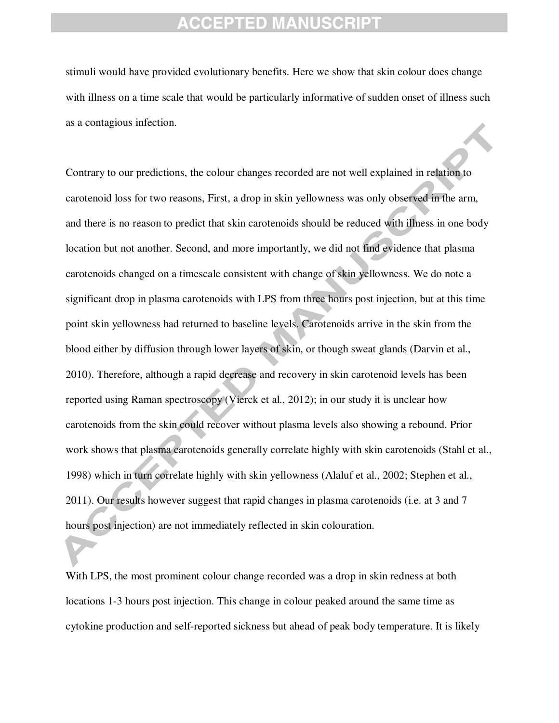stimuli would have provided evolutionary benefits. Here we show that skin colour does change with illness on a time scale that would be particularly informative of sudden onset of illness such as a contagious infection.

Contrary to our predictions, the colour changes recorded are not well explained in relation to carotenoid loss for two reasons, First, a drop in skin yellowness was only observed in the arm, and there is no reason to predict that skin carotenoids should be reduced with illness in one body location but not another. Second, and more importantly, we did not find evidence that plasma carotenoids changed on a timescale consistent with change of skin yellowness. We do note a significant drop in plasma carotenoids with LPS from three hours post injection, but at this time point skin yellowness had returned to baseline levels. Carotenoids arrive in the skin from the blood either by diffusion through lower layers of skin, or though sweat glands (Darvin et al., 2010). Therefore, although a rapid decrease and recovery in skin carotenoid levels has been reported using Raman spectroscopy (Vierck et al., 2012); in our study it is unclear how carotenoids from the skin could recover without plasma levels also showing a rebound. Prior work shows that plasma carotenoids generally correlate highly with skin carotenoids (Stahl et al., 1998) which in turn correlate highly with skin yellowness (Alaluf et al., 2002; Stephen et al., 2011). Our results however suggest that rapid changes in plasma carotenoids (i.e. at 3 and 7 hours post injection) are not immediately reflected in skin colouration.

With LPS, the most prominent colour change recorded was a drop in skin redness at both locations 1-3 hours post injection. This change in colour peaked around the same time as cytokine production and self-reported sickness but ahead of peak body temperature. It is likely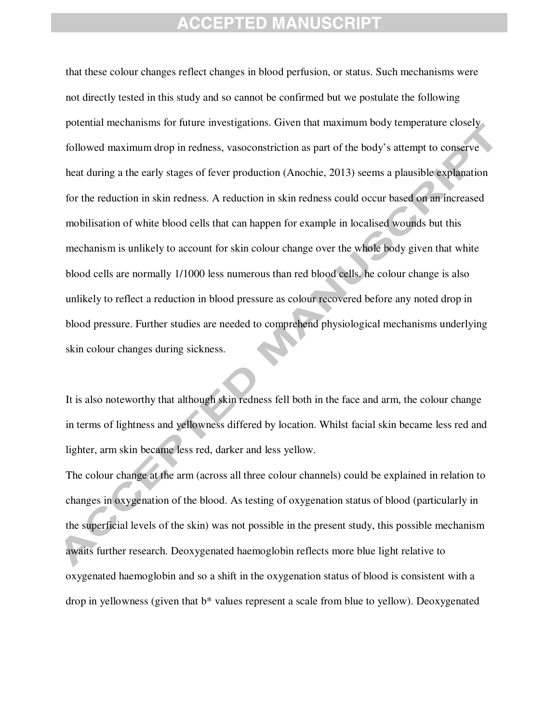that these colour changes reflect changes in blood perfusion, or status. Such mechanisms were not directly tested in this study and so cannot be confirmed but we postulate the following potential mechanisms for future investigations. Given that maximum body temperature closely followed maximum drop in redness, vasoconstriction as part of the body's attempt to conserve heat during a the early stages of fever production (Anochie, 2013) seems a plausible explanation for the reduction in skin redness. A reduction in skin redness could occur based on an increased mobilisation of white blood cells that can happen for example in localised wounds but this mechanism is unlikely to account for skin colour change over the whole body given that white blood cells are normally 1/1000 less numerous than red blood cells. he colour change is also unlikely to reflect a reduction in blood pressure as colour recovered before any noted drop in blood pressure. Further studies are needed to comprehend physiological mechanisms underlying skin colour changes during sickness.

It is also noteworthy that although skin redness fell both in the face and arm, the colour change in terms of lightness and yellowness differed by location. Whilst facial skin became less red and lighter, arm skin became less red, darker and less yellow.

The colour change at the arm (across all three colour channels) could be explained in relation to changes in oxygenation of the blood. As testing of oxygenation status of blood (particularly in the superficial levels of the skin) was not possible in the present study, this possible mechanism awaits further research. Deoxygenated haemoglobin reflects more blue light relative to oxygenated haemoglobin and so a shift in the oxygenation status of blood is consistent with a drop in yellowness (given that b\* values represent a scale from blue to yellow). Deoxygenated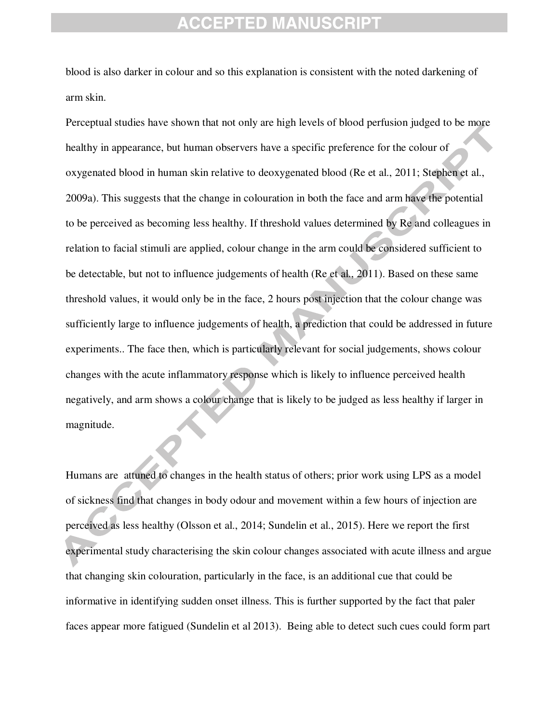blood is also darker in colour and so this explanation is consistent with the noted darkening of arm skin.

Perceptual studies have shown that not only are high levels of blood perfusion judged to be more healthy in appearance, but human observers have a specific preference for the colour of oxygenated blood in human skin relative to deoxygenated blood (Re et al., 2011; Stephen et al., 2009a). This suggests that the change in colouration in both the face and arm have the potential to be perceived as becoming less healthy. If threshold values determined by Re and colleagues in relation to facial stimuli are applied, colour change in the arm could be considered sufficient to be detectable, but not to influence judgements of health (Re et al., 2011). Based on these same threshold values, it would only be in the face, 2 hours post injection that the colour change was sufficiently large to influence judgements of health, a prediction that could be addressed in future experiments.. The face then, which is particularly relevant for social judgements, shows colour changes with the acute inflammatory response which is likely to influence perceived health negatively, and arm shows a colour change that is likely to be judged as less healthy if larger in magnitude.

Humans are attuned to changes in the health status of others; prior work using LPS as a model of sickness find that changes in body odour and movement within a few hours of injection are perceived as less healthy (Olsson et al., 2014; Sundelin et al., 2015). Here we report the first experimental study characterising the skin colour changes associated with acute illness and argue that changing skin colouration, particularly in the face, is an additional cue that could be informative in identifying sudden onset illness. This is further supported by the fact that paler faces appear more fatigued (Sundelin et al 2013). Being able to detect such cues could form part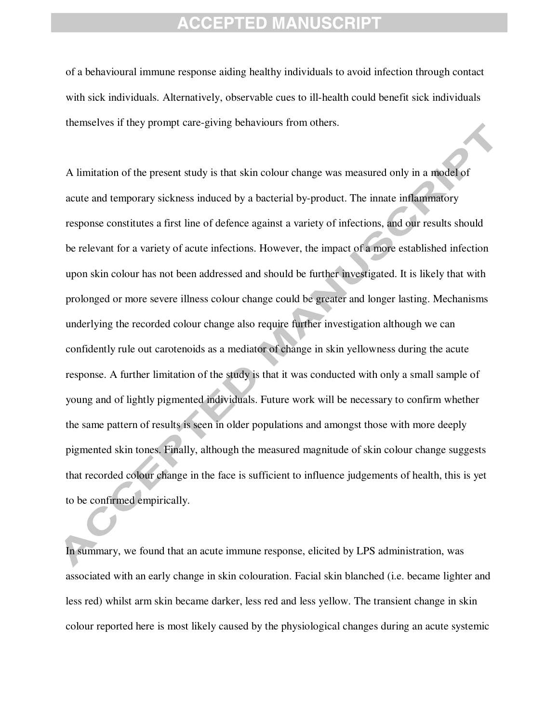of a behavioural immune response aiding healthy individuals to avoid infection through contact with sick individuals. Alternatively, observable cues to ill-health could benefit sick individuals themselves if they prompt care-giving behaviours from others.

A limitation of the present study is that skin colour change was measured only in a model of acute and temporary sickness induced by a bacterial by-product. The innate inflammatory response constitutes a first line of defence against a variety of infections, and our results should be relevant for a variety of acute infections. However, the impact of a more established infection upon skin colour has not been addressed and should be further investigated. It is likely that with prolonged or more severe illness colour change could be greater and longer lasting. Mechanisms underlying the recorded colour change also require further investigation although we can confidently rule out carotenoids as a mediator of change in skin yellowness during the acute response. A further limitation of the study is that it was conducted with only a small sample of young and of lightly pigmented individuals. Future work will be necessary to confirm whether the same pattern of results is seen in older populations and amongst those with more deeply pigmented skin tones. Finally, although the measured magnitude of skin colour change suggests that recorded colour change in the face is sufficient to influence judgements of health, this is yet to be confirmed empirically.

In summary, we found that an acute immune response, elicited by LPS administration, was associated with an early change in skin colouration. Facial skin blanched (i.e. became lighter and less red) whilst arm skin became darker, less red and less yellow. The transient change in skin colour reported here is most likely caused by the physiological changes during an acute systemic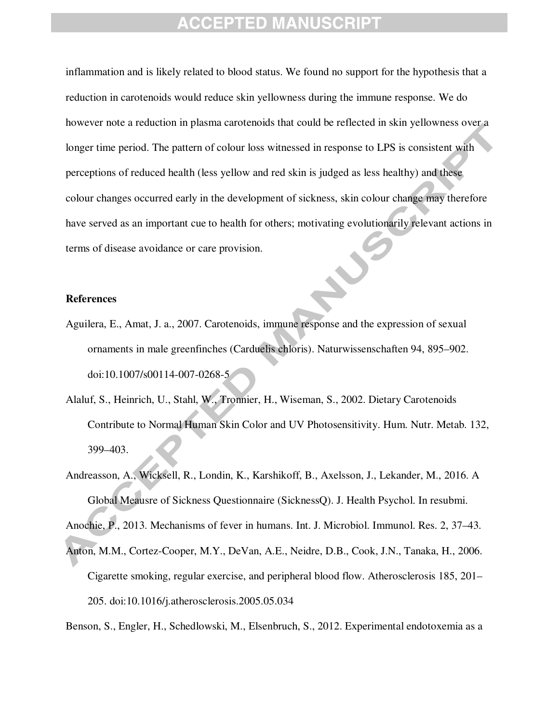inflammation and is likely related to blood status. We found no support for the hypothesis that a reduction in carotenoids would reduce skin yellowness during the immune response. We do however note a reduction in plasma carotenoids that could be reflected in skin yellowness over a longer time period. The pattern of colour loss witnessed in response to LPS is consistent with perceptions of reduced health (less yellow and red skin is judged as less healthy) and these colour changes occurred early in the development of sickness, skin colour change may therefore have served as an important cue to health for others; motivating evolutionarily relevant actions in terms of disease avoidance or care provision.

#### **References**

- Aguilera, E., Amat, J. a., 2007. Carotenoids, immune response and the expression of sexual ornaments in male greenfinches (Carduelis chloris). Naturwissenschaften 94, 895–902. doi:10.1007/s00114-007-0268-5
- Alaluf, S., Heinrich, U., Stahl, W., Tronnier, H., Wiseman, S., 2002. Dietary Carotenoids Contribute to Normal Human Skin Color and UV Photosensitivity. Hum. Nutr. Metab. 132, 399–403.
- Andreasson, A., Wicksell, R., Londin, K., Karshikoff, B., Axelsson, J., Lekander, M., 2016. A Global Meausre of Sickness Questionnaire (SicknessQ). J. Health Psychol. In resubmi.

Anochie, P., 2013. Mechanisms of fever in humans. Int. J. Microbiol. Immunol. Res. 2, 37–43.

Anton, M.M., Cortez-Cooper, M.Y., DeVan, A.E., Neidre, D.B., Cook, J.N., Tanaka, H., 2006. Cigarette smoking, regular exercise, and peripheral blood flow. Atherosclerosis 185, 201– 205. doi:10.1016/j.atherosclerosis.2005.05.034

Benson, S., Engler, H., Schedlowski, M., Elsenbruch, S., 2012. Experimental endotoxemia as a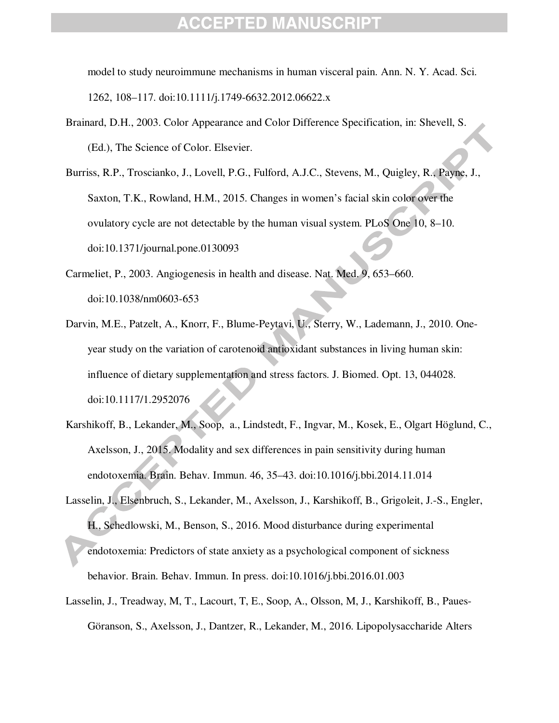model to study neuroimmune mechanisms in human visceral pain. Ann. N. Y. Acad. Sci. 1262, 108–117. doi:10.1111/j.1749-6632.2012.06622.x

- Brainard, D.H., 2003. Color Appearance and Color Difference Specification, in: Shevell, S. (Ed.), The Science of Color. Elsevier.
- Burriss, R.P., Troscianko, J., Lovell, P.G., Fulford, A.J.C., Stevens, M., Quigley, R., Payne, J., Saxton, T.K., Rowland, H.M., 2015. Changes in women's facial skin color over the ovulatory cycle are not detectable by the human visual system. PLoS One 10, 8–10. doi:10.1371/journal.pone.0130093
- Carmeliet, P., 2003. Angiogenesis in health and disease. Nat. Med. 9, 653–660. doi:10.1038/nm0603-653
- Darvin, M.E., Patzelt, A., Knorr, F., Blume-Peytavi, U., Sterry, W., Lademann, J., 2010. Oneyear study on the variation of carotenoid antioxidant substances in living human skin: influence of dietary supplementation and stress factors. J. Biomed. Opt. 13, 044028. doi:10.1117/1.2952076
- Karshikoff, B., Lekander, M., Soop, a., Lindstedt, F., Ingvar, M., Kosek, E., Olgart Höglund, C., Axelsson, J., 2015. Modality and sex differences in pain sensitivity during human endotoxemia. Brain. Behav. Immun. 46, 35–43. doi:10.1016/j.bbi.2014.11.014
- Lasselin, J., Elsenbruch, S., Lekander, M., Axelsson, J., Karshikoff, B., Grigoleit, J.-S., Engler, H., Schedlowski, M., Benson, S., 2016. Mood disturbance during experimental endotoxemia: Predictors of state anxiety as a psychological component of sickness behavior. Brain. Behav. Immun. In press. doi:10.1016/j.bbi.2016.01.003
- Lasselin, J., Treadway, M, T., Lacourt, T, E., Soop, A., Olsson, M, J., Karshikoff, B., Paues-Göranson, S., Axelsson, J., Dantzer, R., Lekander, M., 2016. Lipopolysaccharide Alters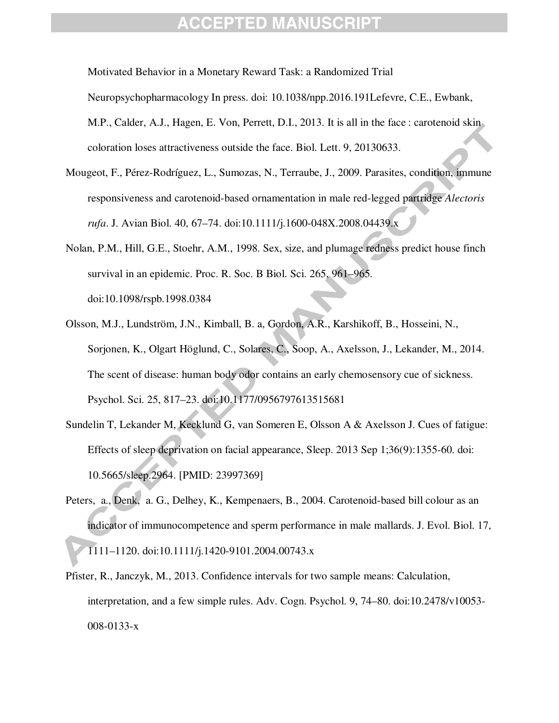Motivated Behavior in a Monetary Reward Task: a Randomized Trial Neuropsychopharmacology In press. doi: 10.1038/npp.2016.191Lefevre, C.E., Ewbank, M.P., Calder, A.J., Hagen, E. Von, Perrett, D.I., 2013. It is all in the face : carotenoid skin coloration loses attractiveness outside the face. Biol. Lett. 9, 20130633.

- Mougeot, F., Pérez-Rodríguez, L., Sumozas, N., Terraube, J., 2009. Parasites, condition, immune responsiveness and carotenoid-based ornamentation in male red-legged partridge *Alectoris rufa*. J. Avian Biol. 40, 67–74. doi:10.1111/j.1600-048X.2008.04439.x
- Nolan, P.M., Hill, G.E., Stoehr, A.M., 1998. Sex, size, and plumage redness predict house finch survival in an epidemic. Proc. R. Soc. B Biol. Sci. 265, 961–965. doi:10.1098/rspb.1998.0384
- Olsson, M.J., Lundström, J.N., Kimball, B. a, Gordon, A.R., Karshikoff, B., Hosseini, N., Sorjonen, K., Olgart Höglund, C., Solares, C., Soop, A., Axelsson, J., Lekander, M., 2014. The scent of disease: human body odor contains an early chemosensory cue of sickness. Psychol. Sci. 25, 817–23. doi:10.1177/0956797613515681
- Sundelin T, Lekander M, Kecklund G, van Someren E, Olsson A & Axelsson J. Cues of fatigue: Effects of sleep deprivation on facial appearance, Sleep. 2013 Sep 1;36(9):1355-60. doi: 10.5665/sleep.2964. [PMID: 23997369]
- Peters, a., Denk, a. G., Delhey, K., Kempenaers, B., 2004. Carotenoid-based bill colour as an indicator of immunocompetence and sperm performance in male mallards. J. Evol. Biol. 17, 1111–1120. doi:10.1111/j.1420-9101.2004.00743.x
- Pfister, R., Janczyk, M., 2013. Confidence intervals for two sample means: Calculation, interpretation, and a few simple rules. Adv. Cogn. Psychol. 9, 74–80. doi:10.2478/v10053- 008-0133-x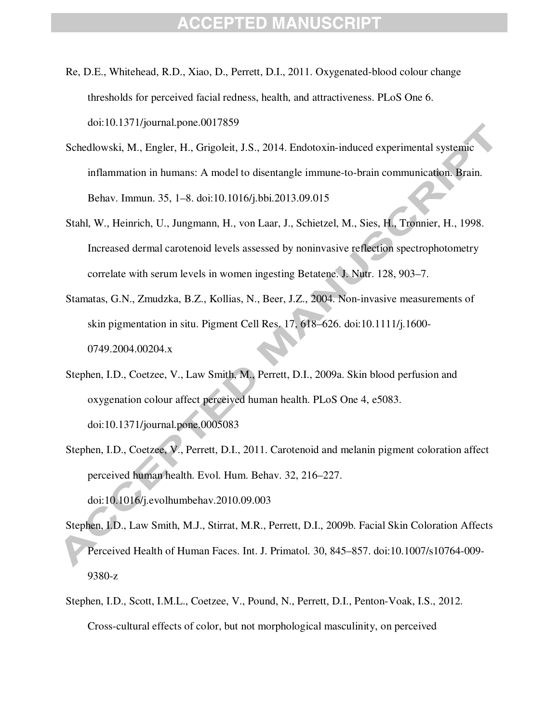- Re, D.E., Whitehead, R.D., Xiao, D., Perrett, D.I., 2011. Oxygenated-blood colour change thresholds for perceived facial redness, health, and attractiveness. PLoS One 6. doi:10.1371/journal.pone.0017859
- Schedlowski, M., Engler, H., Grigoleit, J.S., 2014. Endotoxin-induced experimental systemic inflammation in humans: A model to disentangle immune-to-brain communication. Brain. Behav. Immun. 35, 1–8. doi:10.1016/j.bbi.2013.09.015
- Stahl, W., Heinrich, U., Jungmann, H., von Laar, J., Schietzel, M., Sies, H., Tronnier, H., 1998. Increased dermal carotenoid levels assessed by noninvasive reflection spectrophotometry correlate with serum levels in women ingesting Betatene. J. Nutr. 128, 903–7.
- Stamatas, G.N., Zmudzka, B.Z., Kollias, N., Beer, J.Z., 2004. Non-invasive measurements of skin pigmentation in situ. Pigment Cell Res. 17, 618–626. doi:10.1111/j.1600- 0749.2004.00204.x
- Stephen, I.D., Coetzee, V., Law Smith, M., Perrett, D.I., 2009a. Skin blood perfusion and oxygenation colour affect perceived human health. PLoS One 4, e5083. doi:10.1371/journal.pone.0005083
- Stephen, I.D., Coetzee, V., Perrett, D.I., 2011. Carotenoid and melanin pigment coloration affect perceived human health. Evol. Hum. Behav. 32, 216–227. doi:10.1016/j.evolhumbehav.2010.09.003
- Stephen, I.D., Law Smith, M.J., Stirrat, M.R., Perrett, D.I., 2009b. Facial Skin Coloration Affects Perceived Health of Human Faces. Int. J. Primatol. 30, 845–857. doi:10.1007/s10764-009- 9380-z
- Stephen, I.D., Scott, I.M.L., Coetzee, V., Pound, N., Perrett, D.I., Penton-Voak, I.S., 2012. Cross-cultural effects of color, but not morphological masculinity, on perceived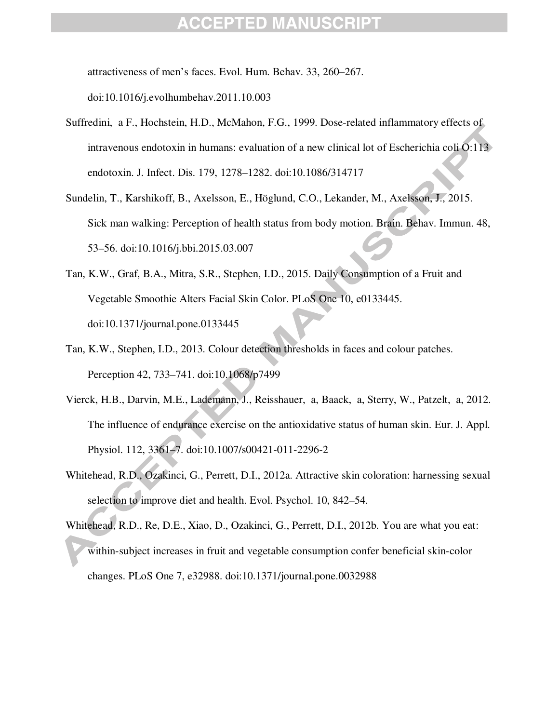attractiveness of men's faces. Evol. Hum. Behav. 33, 260–267.

doi:10.1016/j.evolhumbehav.2011.10.003

- Suffredini, a F., Hochstein, H.D., McMahon, F.G., 1999. Dose-related inflammatory effects of intravenous endotoxin in humans: evaluation of a new clinical lot of Escherichia coli O:113 endotoxin. J. Infect. Dis. 179, 1278–1282. doi:10.1086/314717
- Sundelin, T., Karshikoff, B., Axelsson, E., Höglund, C.O., Lekander, M., Axelsson, J., 2015. Sick man walking: Perception of health status from body motion. Brain. Behav. Immun. 48, 53–56. doi:10.1016/j.bbi.2015.03.007
- Tan, K.W., Graf, B.A., Mitra, S.R., Stephen, I.D., 2015. Daily Consumption of a Fruit and Vegetable Smoothie Alters Facial Skin Color. PLoS One 10, e0133445. doi:10.1371/journal.pone.0133445
- Tan, K.W., Stephen, I.D., 2013. Colour detection thresholds in faces and colour patches. Perception 42, 733–741. doi:10.1068/p7499
- Vierck, H.B., Darvin, M.E., Lademann, J., Reisshauer, a, Baack, a, Sterry, W., Patzelt, a, 2012. The influence of endurance exercise on the antioxidative status of human skin. Eur. J. Appl. Physiol. 112, 3361–7. doi:10.1007/s00421-011-2296-2
- Whitehead, R.D., Ozakinci, G., Perrett, D.I., 2012a. Attractive skin coloration: harnessing sexual selection to improve diet and health. Evol. Psychol. 10, 842–54.
- Whitehead, R.D., Re, D.E., Xiao, D., Ozakinci, G., Perrett, D.I., 2012b. You are what you eat: within-subject increases in fruit and vegetable consumption confer beneficial skin-color changes. PLoS One 7, e32988. doi:10.1371/journal.pone.0032988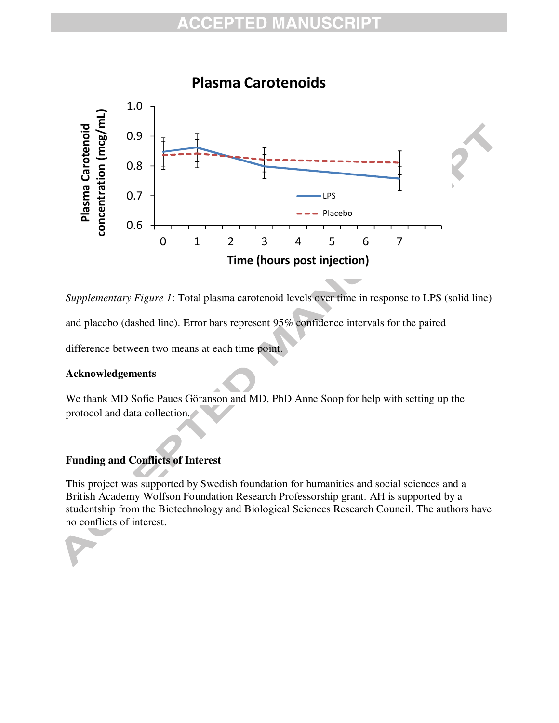

*Supplementary Figure 1*: Total plasma carotenoid levels over time in response to LPS (solid line)

and placebo (dashed line). Error bars represent 95% confidence intervals for the paired

difference between two means at each time point.

### **Acknowledgements**

We thank MD Sofie Paues Göranson and MD, PhD Anne Soop for help with setting up the protocol and data collection.

## **Funding and Conflicts of Interest**

This project was supported by Swedish foundation for humanities and social sciences and a British Academy Wolfson Foundation Research Professorship grant. AH is supported by a studentship from the Biotechnology and Biological Sciences Research Council. The authors have no conflicts of interest.